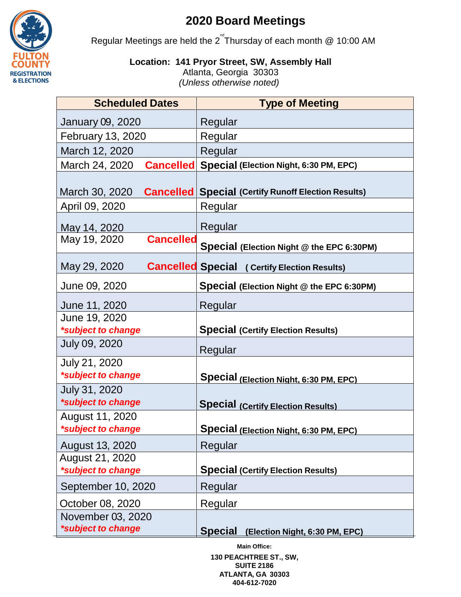

## **2020 Board Meetings**

Regular Meetings are held the  $2^{nd}$ Thursday of each month @ 10:00 AM

**Location: 141 Pryor Street, SW, Assembly Hall**

Atlanta, Georgia 30303 *(Unless otherwise noted)*

| <b>Scheduled Dates</b>                  | <b>Type of Meeting</b>                                     |
|-----------------------------------------|------------------------------------------------------------|
| January 09, 2020                        | Regular                                                    |
| <b>February 13, 2020</b>                | Regular                                                    |
| March 12, 2020                          | Regular                                                    |
| March 24, 2020                          | <b>Cancelled Special (Election Night, 6:30 PM, EPC)</b>    |
| March 30, 2020                          | <b>Cancelled Special (Certify Runoff Election Results)</b> |
| April 09, 2020                          | Regular                                                    |
| May 14, 2020                            | Regular                                                    |
| <b>Cancelled</b><br>May 19, 2020        | Special (Election Night @ the EPC 6:30PM)                  |
| May 29, 2020                            | <b>Cancelled Special (Certify Election Results)</b>        |
| June 09, 2020                           | Special (Election Night @ the EPC 6:30PM)                  |
| June 11, 2020                           | Regular                                                    |
| June 19, 2020                           |                                                            |
| *subject to change<br>July 09, 2020     | <b>Special (Certify Election Results)</b>                  |
|                                         | Regular                                                    |
| July 21, 2020                           |                                                            |
| *subject to change                      | Special (Election Night, 6:30 PM, EPC)                     |
| July 31, 2020<br>*subject to change     | <b>Special (Certify Election Results)</b>                  |
| August 11, 2020<br>*subject to change   | <b>Special (Election Night, 6:30 PM, EPC)</b>              |
| August 13, 2020                         | Regular                                                    |
| August 21, 2020                         |                                                            |
| *subject to change                      | <b>Special (Certify Election Results)</b>                  |
| September 10, 2020                      | Regular                                                    |
| October 08, 2020                        | Regular                                                    |
| November 03, 2020<br>*subject to change | <b>Special</b><br>(Election Night, 6:30 PM, EPC)           |

**Main Office: 130 PEACHTREE ST., SW, SUITE 2186 ATLANTA, GA 30303 404-612-7020**